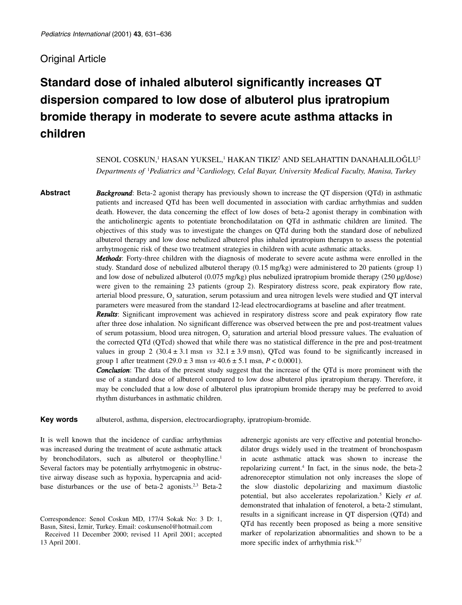# Original Article

# **Standard dose of inhaled albuterol significantly increases QT dispersion compared to low dose of albuterol plus ipratropium bromide therapy in moderate to severe acute asthma attacks in children**

SENOL COSKUN,<sup>1</sup> HASAN YUKSEL,<sup>1</sup> HAKAN TIKIZ<sup>2</sup> AND SELAHATTIN DANAHALILOĞLU<sup>2</sup> *Departments of* <sup>1</sup> *Pediatrics and* <sup>2</sup> *Cardiology, Celal Bayar, University Medical Faculty, Manisa, Turkey*

**Abstract** *Background*: Beta-2 agonist therapy has previously shown to increase the QT dispersion (QTd) in asthmatic patients and increased QTd has been well documented in association with cardiac arrhythmias and sudden death. However, the data concerning the effect of low doses of beta-2 agonist therapy in combination with the anticholinergic agents to potentiate bronchodilatation on QTd in asthmatic children are limited. The objectives of this study was to investigate the changes on QTd during both the standard dose of nebulized albuterol therapy and low dose nebulized albuterol plus inhaled ipratropium therapyn to assess the potential arrhytmogenic risk of these two treatment strategies in children with acute asthmatic attacks.

> *Methods*: Forty-three children with the diagnosis of moderate to severe acute asthma were enrolled in the study. Standard dose of nebulized albuterol therapy (0.15 mg/kg) were administered to 20 patients (group 1) and low dose of nebulized albuterol (0.075 mg/kg) plus nebulized ipratropium bromide therapy (250 µg/dose) were given to the remaining 23 patients (group 2). Respiratory distress score, peak expiratory flow rate, arterial blood pressure, O<sub>2</sub> saturation, serum potassium and urea nitrogen levels were studied and QT interval parameters were measured from the standard 12-lead electrocardiograms at baseline and after treatment.

> *Results*: Significant improvement was achieved in respiratory distress score and peak expiratory flow rate after three dose inhalation. No significant difference was observed between the pre and post-treatment values of serum potassium, blood urea nitrogen, O<sub>2</sub> saturation and arterial blood pressure values. The evaluation of the corrected QTd (QTcd) showed that while there was no statistical difference in the pre and post-treatment values in group 2 ( $30.4 \pm 3.1$  msn *vs*  $32.1 \pm 3.9$  msn), QTcd was found to be significantly increased in group 1 after treatment  $(29.0 \pm 3 \text{ msn} \text{ vs } 40.6 \pm 5.1 \text{ msn}, P < 0.0001)$ .

> **Conclusion**: The data of the present study suggest that the increase of the QTd is more prominent with the use of a standard dose of albuterol compared to low dose albuterol plus ipratropium therapy. Therefore, it may be concluded that a low dose of albuterol plus ipratropium bromide therapy may be preferred to avoid rhythm disturbances in asthmatic children.

**Key words** albuterol, asthma, dispersion, electrocardiography, ipratropium-bromide.

It is well known that the incidence of cardiac arrhythmias was increased during the treatment of acute asthmatic attack by bronchodilators, such as albuterol or theophylline.<sup>1</sup> Several factors may be potentially arrhytmogenic in obstructive airway disease such as hypoxia, hypercapnia and acidbase disturbances or the use of beta-2 agonists.<sup>2,3</sup> Beta-2 adrenergic agonists are very effective and potential bronchodilator drugs widely used in the treatment of bronchospasm in acute asthmatic attack was shown to increase the repolarizing current.4 In fact, in the sinus node, the beta-2 adrenoreceptor stimulation not only increases the slope of the slow diastolic depolarizing and maximum diastolic potential, but also accelerates repolarization.5 Kiely *et al.* demonstrated that inhalation of fenoterol, a beta-2 stimulant, results in a significant increase in QT dispersion (QTd) and QTd has recently been proposed as being a more sensitive marker of repolarization abnormalities and shown to be a more specific index of arrhythmia risk.<sup>6,7</sup>

Correspondence: Senol Coskun MD, 177/4 Sokak No: 3 D: 1, Basın, Sitesi, İzmir, Turkey. Email: coskunsenol@hotmail.com

Received 11 December 2000; revised 11 April 2001; accepted 13 April 2001.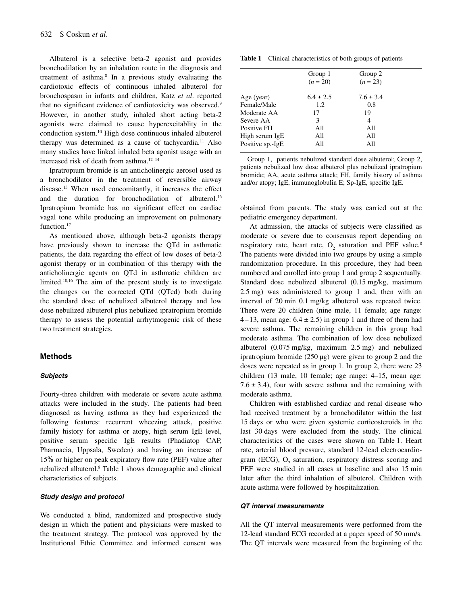Albuterol is a selective beta-2 agonist and provides bronchodilation by an inhalation route in the diagnosis and treatment of asthma.8 In a previous study evaluating the cardiotoxic effects of continuous inhaled albuterol for bronchospasm in infants and children, Katz *et al*. reported that no significant evidence of cardiotoxicity was observed.<sup>9</sup> However, in another study, inhaled short acting beta-2 agonists were claimed to cause hyperexcitablity in the conduction system.10 High dose continuous inhaled albuterol therapy was determined as a cause of tachycardia.<sup>11</sup> Also many studies have linked inhaled beta agonist usage with an increased risk of death from asthma.12–14

Ipratropium bromide is an anticholinergic aerosol used as a bronchodilator in the treatment of reversible airway disease.15 When used concomitantly, it increases the effect and the duration for bronchodilation of albuterol.16 Ipratropium bromide has no significant effect on cardiac vagal tone while producing an improvement on pulmonary function.<sup>17</sup>

As mentioned above, although beta-2 agonists therapy have previously shown to increase the QTd in asthmatic patients, the data regarding the effect of low doses of beta-2 agonist therapy or in combination of this therapy with the anticholinergic agents on QTd in asthmatic children are limited.10,16 The aim of the present study is to investigate the changes on the corrected QTd (QTcd) both during the standard dose of nebulized albuterol therapy and low dose nebulized albuterol plus nebulized ipratropium bromide therapy to assess the potential arrhytmogenic risk of these two treatment strategies.

#### **Methods**

# *Subjects*

Fourty-three children with moderate or severe acute asthma attacks were included in the study. The patients had been diagnosed as having asthma as they had experienced the following features: recurrent wheezing attack, positive family history for asthma or atopy, high serum IgE level, positive serum specific IgE results (Phadiatop CAP, Pharmacia, Uppsala, Sweden) and having an increase of 15% or higher on peak expiratory flow rate (PEF) value after nebulized albuterol.8 Table 1 shows demographic and clinical characteristics of subjects.

# *Study design and protocol*

We conducted a blind, randomized and prospective study design in which the patient and physicians were masked to the treatment strategy. The protocol was approved by the Institutional Ethic Committee and informed consent was

|  |  | <b>Table 1</b> Clinical characteristics of both groups of patients |  |  |  |  |  |
|--|--|--------------------------------------------------------------------|--|--|--|--|--|
|--|--|--------------------------------------------------------------------|--|--|--|--|--|

|                  | Group 1<br>$(n = 20)$ | Group 2<br>$(n = 23)$ |  |
|------------------|-----------------------|-----------------------|--|
| Age (year)       | $6.4 \pm 2.5$         | $7.6 \pm 3.4$         |  |
| Female/Male      | 1.2                   | 0.8                   |  |
| Moderate AA      | 17                    | 19                    |  |
| Severe AA        | 3                     | 4                     |  |
| Positive FH      | A11                   | A11                   |  |
| High serum IgE   | A11                   | A11                   |  |
| Positive sp.-IgE | All                   | All                   |  |
|                  |                       |                       |  |

Group 1, patients nebulized standard dose albuterol; Group 2, patients nebulized low dose albuterol plus nebulized ipratropium bromide; AA, acute asthma attack; FH, family history of asthma and/or atopy; IgE, immunoglobulin E; Sp-IgE, specific IgE.

obtained from parents. The study was carried out at the pediatric emergency department.

At admission, the attacks of subjects were classified as moderate or severe due to consensus report depending on respiratory rate, heart rate,  $O<sub>2</sub>$  saturation and PEF value.<sup>8</sup> The patients were divided into two groups by using a simple randomization procedure. In this procedure, they had been numbered and enrolled into group 1 and group 2 sequentually. Standard dose nebulized albuterol (0.15 mg/kg, maximum 2.5 mg) was administered to group 1 and, then with an interval of 20 min 0.1 mg/kg albuterol was repeated twice. There were 20 children (nine male, 11 female; age range: 4–13, mean age:  $6.4 \pm 2.5$ ) in group 1 and three of them had severe asthma. The remaining children in this group had moderate asthma. The combination of low dose nebulized albuterol (0.075 mg/kg, maximum 2.5 mg) and nebulized ipratropium bromide (250 µg) were given to group 2 and the doses were repeated as in group 1. In group 2, there were 23 children (13 male, 10 female; age range: 4–15, mean age:  $7.6 \pm 3.4$ ), four with severe asthma and the remaining with moderate asthma.

Children with established cardiac and renal disease who had received treatment by a bronchodilator within the last 15 days or who were given systemic corticosteroids in the last 30 days were excluded from the study. The clinical characteristics of the cases were shown on Table 1. Heart rate, arterial blood pressure, standard 12-lead electrocardiogram (ECG), O<sub>2</sub> saturation, respiratory distress scoring and PEF were studied in all cases at baseline and also 15 min later after the third inhalation of albuterol. Children with acute asthma were followed by hospitalization.

#### *QT interval measurements*

All the QT interval measurements were performed from the 12-lead standard ECG recorded at a paper speed of 50 mm/s. The QT intervals were measured from the beginning of the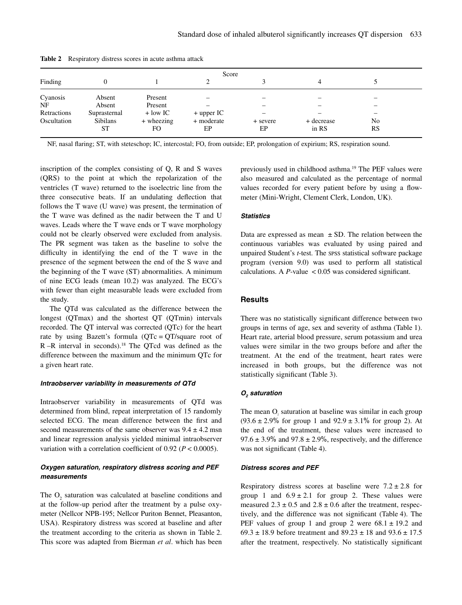| Score       |                 |            |              |          |            |           |  |  |
|-------------|-----------------|------------|--------------|----------|------------|-----------|--|--|
| Finding     |                 |            |              |          |            |           |  |  |
| Cyanosis    | Absent          | Present    |              |          |            |           |  |  |
| NF          | Absent          | Present    |              |          |            | -         |  |  |
| Retractions | Suprasternal    | $+$ low IC | $+$ upper IC |          |            |           |  |  |
| Oscultation | <b>Sibilans</b> | + wheezing | + moderate   | + severe | + decrease | No        |  |  |
|             | ST              | FO         | EP           | EP       | in RS      | <b>RS</b> |  |  |

**Table 2** Respiratory distress scores in acute asthma attack

NF, nasal flaring; ST, with steteschop; IC, intercostal; FO, from outside; EP, prolongation of expirium; RS, respiration sound.

inscription of the complex consisting of Q, R and S waves (QRS) to the point at which the repolarization of the ventricles (T wave) returned to the isoelectric line from the three consecutive beats. If an undulating deflection that follows the T wave (U wave) was present, the termination of the T wave was defined as the nadir between the T and U waves. Leads where the T wave ends or T wave morphology could not be clearly observed were excluded from analysis. The PR segment was taken as the baseline to solve the difficulty in identifying the end of the T wave in the presence of the segment between the end of the S wave and the beginning of the T wave (ST) abnormalities. A minimum of nine ECG leads (mean 10.2) was analyzed. The ECG's with fewer than eight measurable leads were excluded from the study.

The QTd was calculated as the difference between the longest (QTmax) and the shortest QT (QTmin) intervals recorded. The QT interval was corrected (QTc) for the heart rate by using Bazett's formula (QTc=QT/square root of  $R - R$  interval in seconds).<sup>18</sup> The QTcd was defined as the difference between the maximum and the minimum QTc for a given heart rate.

#### *Intraobserver variability in measurements of QTd*

Intraobserver variability in measurements of QTd was determined from blind, repeat interpretation of 15 randomly selected ECG. The mean difference between the first and second measurements of the same observer was  $9.4 \pm 4.2$  msn and linear regression analysis yielded minimal intraobserver variation with a correlation coefficient of  $0.92$  ( $P < 0.0005$ ).

# *Oxygen saturation, respiratory distress scoring and PEF measurements*

The O<sub>2</sub> saturation was calculated at baseline conditions and at the follow-up period after the treatment by a pulse oxymeter (Nellcor NPB-195; Nellcor Puriton Bennet, Pleasanton, USA). Respiratory distress was scored at baseline and after the treatment according to the criteria as shown in Table 2. This score was adapted from Bierman *et al*. which has been previously used in childhood asthma.19 The PEF values were also measured and calculated as the percentage of normal values recorded for every patient before by using a flowmeter (Mini-Wright, Clement Clerk, London, UK).

#### *Statistics*

Data are expressed as mean  $\pm$  SD. The relation between the continuous variables was evaluated by using paired and unpaired Student's *t*-test. The SPSS statistical software package program (version 9.0) was used to perform all statistical calculations. A  $P$ -value  $\lt$  0.05 was considered significant.

# **Results**

There was no statistically significant difference between two groups in terms of age, sex and severity of asthma (Table 1). Heart rate, arterial blood pressure, serum potassium and urea values were similar in the two groups before and after the treatment. At the end of the treatment, heart rates were increased in both groups, but the difference was not statistically significant (Table 3).

#### *O2 saturation*

The mean O<sub>2</sub> saturation at baseline was similar in each group  $(93.6 \pm 2.9\%$  for group 1 and  $92.9 \pm 3.1\%$  for group 2). At the end of the treatment, these values were increased to 97.6  $\pm$  3.9% and 97.8  $\pm$  2.9%, respectively, and the difference was not significant (Table 4).

#### *Distress scores and PEF*

Respiratory distress scores at baseline were  $7.2 \pm 2.8$  for group 1 and  $6.9 \pm 2.1$  for group 2. These values were measured  $2.3 \pm 0.5$  and  $2.8 \pm 0.6$  after the treatment, respectively, and the difference was not significant (Table 4). The PEF values of group 1 and group 2 were  $68.1 \pm 19.2$  and 69.3  $\pm$  18.9 before treatment and 89.23  $\pm$  18 and 93.6  $\pm$  17.5 after the treatment, respectively. No statistically significant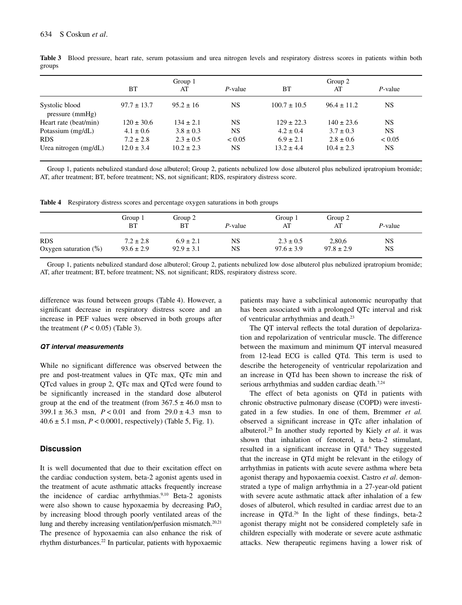|                                   | Group 1         |                |            | Group 2          |                 |             |
|-----------------------------------|-----------------|----------------|------------|------------------|-----------------|-------------|
|                                   | <b>BT</b>       | AT             | P-value    | BT               | AT              | P-value     |
| Systolic blood<br>pressure (mmHg) | $97.7 \pm 13.7$ | $95.2 \pm 16$  | NS.        | $100.7 \pm 10.5$ | $96.4 \pm 11.2$ | NS          |
| Heart rate (beat/min)             | $120 \pm 30.6$  | $134 \pm 2.1$  | <b>NS</b>  | $129 \pm 22.3$   | $140 \pm 23.6$  | NS          |
| Potassium (mg/dL)                 | $4.1 \pm 0.6$   | $3.8 \pm 0.3$  | <b>NS</b>  | $4.2 \pm 0.4$    | $3.7 \pm 0.3$   | NS.         |
| <b>RDS</b>                        | $7.2 \pm 2.8$   | $2.3 \pm 0.5$  | ${}< 0.05$ | $6.9 \pm 2.1$    | $2.8 \pm 0.6$   | ${}_{0.05}$ |
| Urea nitrogen $(mg/dL)$           | $12.0 \pm 3.4$  | $10.2 \pm 2.3$ | NS         | $13.2 \pm 4.4$   | $10.4 \pm 2.3$  | NS.         |

**Table 3** Blood pressure, heart rate, serum potassium and urea nitrogen levels and respiratory distress scores in patients within both groups

Group 1, patients nebulized standard dose albuterol; Group 2, patients nebulized low dose albuterol plus nebulized ipratropium bromide; AT, after treatment; BT, before treatment; NS, not significant; RDS, respiratory distress score.

**Table 4** Respiratory distress scores and percentage oxygen saturations in both groups

|                          | Group 1<br><b>BT</b> | Group 2<br>ВT  | P-value | Group 1<br>AT  | Group 2<br>AT  | $P$ -value |
|--------------------------|----------------------|----------------|---------|----------------|----------------|------------|
| <b>RDS</b>               | $7.2 \pm 2.8$        | $6.9 \pm 2.1$  | NS      | $2.3 \pm 0.5$  | 2,80,6         | <b>NS</b>  |
| Oxygen saturation $(\%)$ | $93.6 \pm 2.9$       | $92.9 \pm 3.1$ | NS      | $97.6 \pm 3.9$ | $97.8 \pm 2.9$ | <b>NS</b>  |

Group 1, patients nebulized standard dose albuterol; Group 2, patients nebulized low dose albuterol plus nebulized ipratropium bromide; AT, after treatment; BT, before treatment; NS*,* not significant; RDS, respiratory distress score.

difference was found between groups (Table 4). However, a significant decrease in respiratory distress score and an increase in PEF values were observed in both groups after the treatment  $(P < 0.05)$  (Table 3).

#### *QT interval measurements*

While no significant difference was observed between the pre and post-treatment values in QTc max, QTc min and QTcd values in group 2, QTc max and QTcd were found to be significantly increased in the standard dose albuterol group at the end of the treatment (from  $367.5 \pm 46.0$  msn to  $399.1 \pm 36.3$  msn,  $P < 0.01$  and from  $29.0 \pm 4.3$  msn to  $40.6 \pm 5.1$  msn,  $P < 0.0001$ , respectively) (Table 5, Fig. 1).

# **Discussion**

It is well documented that due to their excitation effect on the cardiac conduction system, beta-2 agonist agents used in the treatment of acute asthmatic attacks frequently increase the incidence of cardiac arrhythmias.<sup>9,10</sup> Beta-2 agonists were also shown to cause hypoxaemia by decreasing  $PaO<sub>2</sub>$ by increasing blood through poorly ventilated areas of the lung and thereby increasing ventilation/perfusion mismatch.<sup>20,21</sup> The presence of hypoxaemia can also enhance the risk of rhythm disturbances.22 In particular, patients with hypoxaemic

patients may have a subclinical autonomic neuropathy that has been associated with a prolonged QTc interval and risk of ventricular arrhythmias and death.23

The QT interval reflects the total duration of depolarization and repolarization of ventricular muscle. The difference between the maximum and minimum QT interval measured from 12-lead ECG is called QTd. This term is used to describe the heterogeneity of ventricular repolarization and an increase in QTd has been shown to increase the risk of serious arrhythmias and sudden cardiac death.<sup>7,24</sup>

The effect of beta agonists on QTd in patients with chronic obstructive pulmonary disease (COPD) were investigated in a few studies. In one of them, Bremmer *et al.* observed a significant increase in QTc after inhalation of albuterol.25 In another study reported by Kiely *et al*. it was shown that inhalation of fenoterol, a beta-2 stimulant, resulted in a significant increase in QTd.<sup>6</sup> They suggested that the increase in QTd might be relevant in the etilogy of arrhythmias in patients with acute severe asthma where beta agonist therapy and hypoxaemia coexist. Castro *et al*. demonstrated a type of malign arrhythmia in a 27-year-old patient with severe acute asthmatic attack after inhalation of a few doses of albuterol, which resulted in cardiac arrest due to an increase in QTd.26 In the light of these findings, beta-2 agonist therapy might not be considered completely safe in children especially with moderate or severe acute asthmatic attacks. New therapeutic regimens having a lower risk of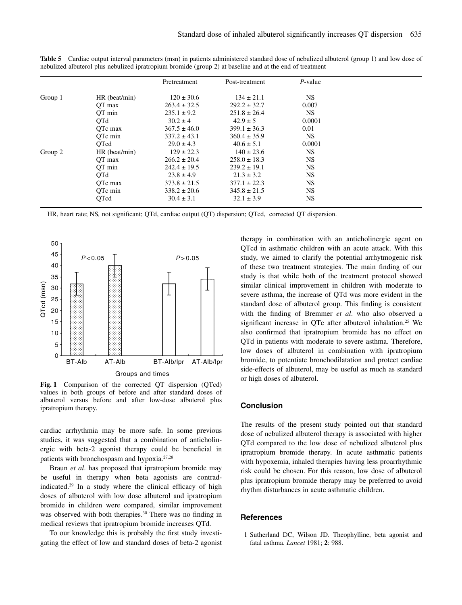|         |               | Pretreatment     | Post-treatment   | $P$ -value |  |
|---------|---------------|------------------|------------------|------------|--|
| Group 1 | HR (beat/min) | $120 \pm 30.6$   | $134 \pm 21.1$   | NS.        |  |
|         | OT max        | $263.4 \pm 32.5$ | $292.2 \pm 32.7$ | 0.007      |  |
|         | OT min        | $235.1 \pm 9.2$  | $251.8 \pm 26.4$ | <b>NS</b>  |  |
|         | QTd           | $30.2 \pm 4$     | $42.9 \pm 5$     | 0.0001     |  |
|         | OTc max       | $367.5 \pm 46.0$ | $399.1 \pm 36.3$ | 0.01       |  |
|         | OTc min       | $337.2 \pm 43.1$ | $360.4 \pm 35.9$ | <b>NS</b>  |  |
|         | OTcd          | $29.0 \pm 4.3$   | $40.6 \pm 5.1$   | 0.0001     |  |
| Group 2 | HR (beat/min) | $129 \pm 22.3$   | $140 \pm 23.6$   | <b>NS</b>  |  |
|         | OT max        | $266.2 \pm 20.4$ | $258.0 \pm 18.3$ | NS.        |  |
|         | OT min        | $242.4 \pm 19.5$ | $239.2 \pm 19.1$ | <b>NS</b>  |  |
|         | OTd           | $23.8 \pm 4.9$   | $21.3 \pm 3.2$   | <b>NS</b>  |  |
|         | OTc max       | $373.8 \pm 21.5$ | $377.1 \pm 22.3$ | <b>NS</b>  |  |
|         | OTc min       | $338.2 \pm 20.6$ | $345.8 \pm 21.5$ | <b>NS</b>  |  |
|         | OTcd          | $30.4 \pm 3.1$   | $32.1 \pm 3.9$   | NS.        |  |

**Table 5** Cardiac output interval parameters (msn) in patients administered standard dose of nebulized albuterol (group 1) and low dose of nebulized albuterol plus nebulized ipratropium bromide (group 2) at baseline and at the end of treatment

HR, heart rate; NS*,* not significant; QTd, cardiac output (QT) dispersion; QTcd, corrected QT dispersion.



**Fig. 1** Comparison of the corrected QT dispersion (QTcd) values in both groups of before and after standard doses of albuterol versus before and after low-dose albuterol plus ipratropium therapy.

cardiac arrhythmia may be more safe. In some previous studies, it was suggested that a combination of anticholinergic with beta-2 agonist therapy could be beneficial in patients with bronchospasm and hypoxia.27,28

Braun *et al*. has proposed that ipratropium bromide may be useful in therapy when beta agonists are contradindicated.29 In a study where the clinical efficacy of high doses of albuterol with low dose albuterol and ipratropium bromide in children were compared, similar improvement was observed with both therapies.<sup>30</sup> There was no finding in medical reviews that ipratropium bromide increases QTd.

To our knowledge this is probably the first study investigating the effect of low and standard doses of beta-2 agonist therapy in combination with an anticholinergic agent on QTcd in asthmatic children with an acute attack. With this study, we aimed to clarify the potential arrhytmogenic risk of these two treatment strategies. The main finding of our study is that while both of the treatment protocol showed similar clinical improvement in children with moderate to severe asthma, the increase of QTd was more evident in the standard dose of albuterol group. This finding is consistent with the finding of Bremmer *et al*. who also observed a significant increase in OTc after albuterol inhalation.<sup>25</sup> We also confirmed that ipratropium bromide has no effect on QTd in patients with moderate to severe asthma. Therefore, low doses of albuterol in combination with ipratropium bromide, to potentiate bronchodilatation and protect cardiac side-effects of albuterol, may be useful as much as standard or high doses of albuterol.

# **Conclusion**

The results of the present study pointed out that standard dose of nebulized albuterol therapy is associated with higher QTd compared to the low dose of nebulized albuterol plus ipratropium bromide therapy. In acute asthmatic patients with hypoxemia, inhaled therapies having less proarrhythmic risk could be chosen. For this reason, low dose of albuterol plus ipratropium bromide therapy may be preferred to avoid rhythm disturbances in acute asthmatic children.

# **References**

1 Sutherland DC, Wilson JD. Theophylline, beta agonist and fatal asthma. *Lancet* 1981; **2**: 988.